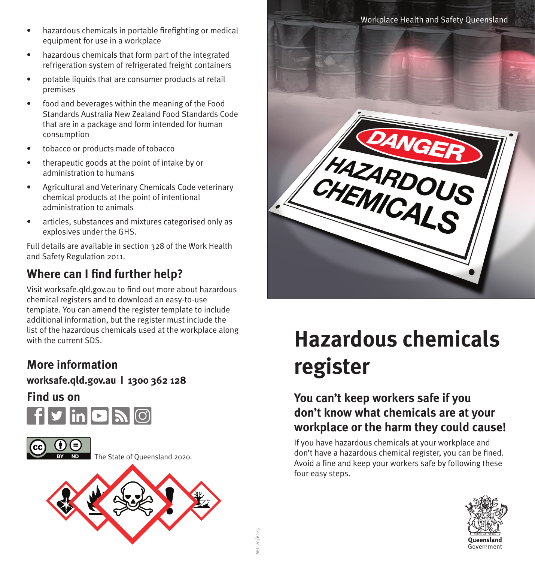- hazardous chemicals in portable firefighting or medical equipment for use in a workplace
- hazardous chemicals that form part of the integrated refrigeration system of refrigerated freight containers
- potable liquids that are consumer products at retail premises
- food and beverages within the meaning of the Food Standards Australia New Zealand Food Standards Code that are in a package and form intended for human consumption
- tobacco or products made of tobacco
- therapeutic goods at the point of intake by or administration to humans
- Agricultural and Veterinary Chemicals Code veterinary chemical products at the point of intentional administration to animals
- articles, substances and mixtures categorised only as explosives under the GHS.

Full details are available in section 328 of the Work Health and Safety Regulation 2011.

# **Where can I find further help?**

Visit worksafe.qld.gov.au to find out more about hazardous chemical registers and to download an easy-to-use template. You can amend the register template to include additional information, but the register must include the list of the hazardous chemicals used at the workplace along with the current SDS.

## **More information**

**[worksafe.qld.gov.au](http://worksafe.qld.gov.au) | 1300 362 128** 

**Find us on** 





The State of Queensland 2020.

AEU 20/6225





# **Hazardous chemicals register**

## **You can't keep workers safe if you don't know what chemicals are at your workplace or the harm they could cause!**

If you have hazardous chemicals at your workplace and don't have a hazardous chemical register, you can be fined. Avoid a fine and keep your workers safe by following these four easy steps.